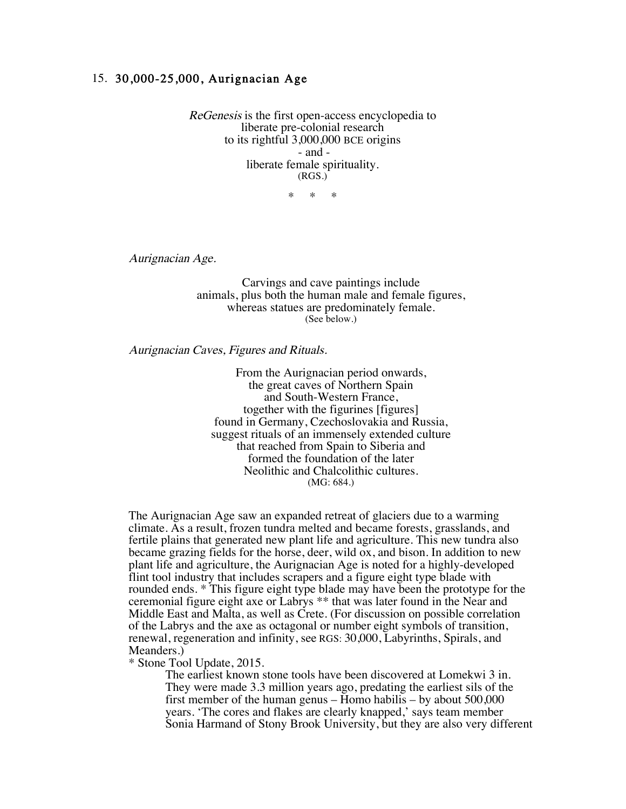## 15. 30,000-25,000, Aurignacian Age

ReGenesis is the first open-access encyclopedia to liberate pre-colonial research to its rightful 3,000,000 BCE origins - and liberate female spirituality. (RGS.)

\* \* \*

Aurignacian Age.

Carvings and cave paintings include animals, plus both the human male and female figures, whereas statues are predominately female. (See below.)

Aurignacian Caves, Figures and Rituals.

From the Aurignacian period onwards, the great caves of Northern Spain and South-Western France, together with the figurines [figures] found in Germany, Czechoslovakia and Russia, suggest rituals of an immensely extended culture that reached from Spain to Siberia and formed the foundation of the later Neolithic and Chalcolithic cultures. (MG: 684.)

The Aurignacian Age saw an expanded retreat of glaciers due to a warming climate. As a result, frozen tundra melted and became forests, grasslands, and fertile plains that generated new plant life and agriculture. This new tundra also became grazing fields for the horse, deer, wild ox, and bison. In addition to new plant life and agriculture, the Aurignacian Age is noted for a highly-developed flint tool industry that includes scrapers and a figure eight type blade with rounded ends. \* This figure eight type blade may have been the prototype for the ceremonial figure eight axe or Labrys \*\* that was later found in the Near and Middle East and Malta, as well as Crete. (For discussion on possible correlation of the Labrys and the axe as octagonal or number eight symbols of transition, renewal, regeneration and infinity, see RGS: 30,000, Labyrinths, Spirals, and Meanders.)

## \* Stone Tool Update, 2015.

The earliest known stone tools have been discovered at Lomekwi 3 in. They were made 3.3 million years ago, predating the earliest sils of the first member of the human genus – Homo habilis – by about 500,000 years. 'The cores and flakes are clearly knapped,' says team member Sonia Harmand of Stony Brook University, but they are also very different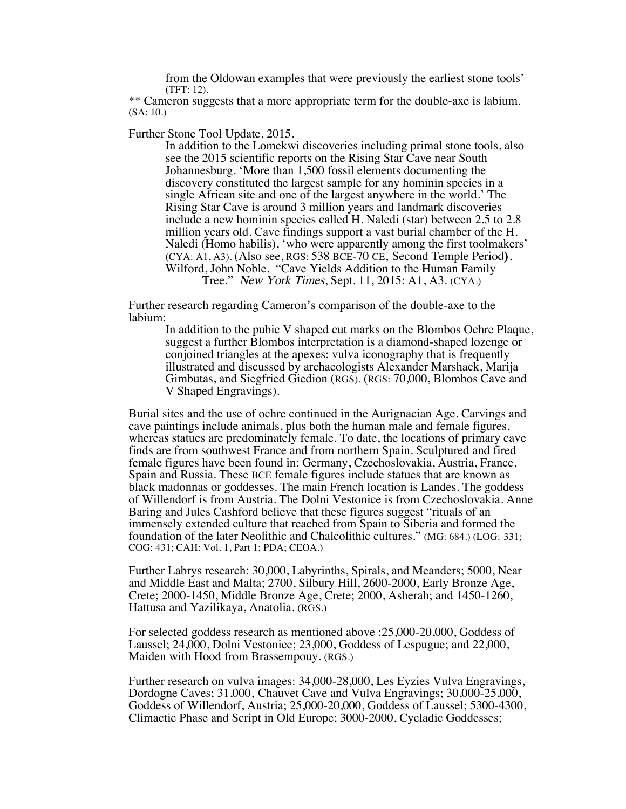from the Oldowan examples that were previously the earliest stone tools' (TFT: 12).

\*\* Cameron suggests that a more appropriate term for the double-axe is labium. (SA: 10.)

Further Stone Tool Update, 2015.

In addition to the Lomekwi discoveries including primal stone tools, also see the 2015 scientific reports on the Rising Star Cave near South Johannesburg. 'More than 1,500 fossil elements documenting the discovery constituted the largest sample for any hominin species in a single African site and one of the largest anywhere in the world.' The Rising Star Cave is around 3 million years and landmark discoveries include a new hominin species called H. Naledi (star) between 2.5 to 2.8 million years old. Cave findings support a vast burial chamber of the H. Naledi (Homo habilis), 'who were apparently among the first toolmakers' (CYA: A1, A3). (Also see, RGS: 538 BCE-70 CE, Second Temple Period). Wilford, John Noble. "Cave Yields Addition to the Human Family Tree." New York Times, Sept. 11, 2015: A1, A3. (CYA.)

Further research regarding Cameron's comparison of the double-axe to the labium:

In addition to the pubic V shaped cut marks on the Blombos Ochre Plaque, suggest a further Blombos interpretation is a diamond-shaped lozenge or conjoined triangles at the apexes: vulva iconography that is frequently illustrated and discussed by archaeologists Alexander Marshack, Marija Gimbutas, and Siegfried Giedion (RGS). (RGS: 70,000, Blombos Cave and V Shaped Engravings).

Burial sites and the use of ochre continued in the Aurignacian Age. Carvings and cave paintings include animals, plus both the human male and female figures, whereas statues are predominately female. To date, the locations of primary cave finds are from southwest France and from northern Spain. Sculptured and fired female figures have been found in: Germany, Czechoslovakia, Austria, France, Spain and Russia. These BCE female figures include statues that are known as black madonnas or goddesses. The main French location is Landes. The goddess of Willendorf is from Austria. The Dolni Vestonice is from Czechoslovakia. Anne Baring and Jules Cashford believe that these figures suggest "rituals of an immensely extended culture that reached from Spain to Siberia and formed the foundation of the later Neolithic and Chalcolithic cultures." (MG: 684.) (LOG: 331; COG: 431; CAH: Vol. 1, Part 1; PDA; CEOA.)

Further Labrys research: 30,000, Labyrinths, Spirals, and Meanders; 5000, Near and Middle East and Malta; 2700, Silbury Hill, 2600-2000, Early Bronze Age, Crete; 2000-1450, Middle Bronze Age, Crete; 2000, Asherah; and 1450-1260, Hattusa and Yazilikaya, Anatolia. (RGS.)

For selected goddess research as mentioned above :25,000-20,000, Goddess of Laussel; 24,000, Dolni Vestonice; 23,000, Goddess of Lespugue; and 22,000, Maiden with Hood from Brassempouy. (RGS.)

Further research on vulva images: 34,000-28,000, Les Eyzies Vulva Engravings, Dordogne Caves; 31,000, Chauvet Cave and Vulva Engravings; 30,000-25,000, Goddess of Willendorf, Austria; 25,000-20,000, Goddess of Laussel; 5300-4300, Climactic Phase and Script in Old Europe; 3000-2000, Cycladic Goddesses;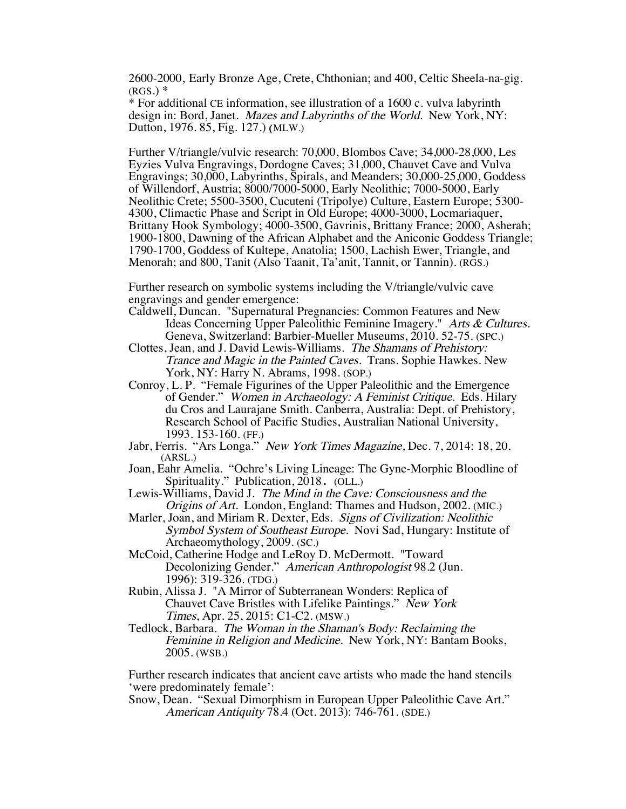2600-2000, Early Bronze Age, Crete, Chthonian; and 400, Celtic Sheela-na-gig.  $(RGS.)$   $*$ 

\* For additional CE information, see illustration of a 1600 c. vulva labyrinth design in: Bord, Janet. Mazes and Labyrinths of the World. New York, NY: Dutton, 1976. 85, Fig. 127.) (MLW.)

Further V/triangle/vulvic research: 70,000, Blombos Cave; 34,000-28,000, Les Eyzies Vulva Engravings, Dordogne Caves; 31,000, Chauvet Cave and Vulva Engravings; 30,000, Labyrinths, Spirals, and Meanders; 30,000-25,000, Goddess of Willendorf, Austria; 8000/7000-5000, Early Neolithic; 7000-5000, Early Neolithic Crete; 5500-3500, Cucuteni (Tripolye) Culture, Eastern Europe; 5300- 4300, Climactic Phase and Script in Old Europe; 4000-3000, Locmariaquer, Brittany Hook Symbology; 4000-3500, Gavrinis, Brittany France; 2000, Asherah; 1900-1800, Dawning of the African Alphabet and the Aniconic Goddess Triangle; 1790-1700, Goddess of Kultepe, Anatolia; 1500, Lachish Ewer, Triangle, and Menorah; and 800, Tanit (Also Taanit, Ta'anit, Tannit, or Tannin). (RGS.)

Further research on symbolic systems including the V/triangle/vulvic cave engravings and gender emergence:

- Caldwell, Duncan. "Supernatural Pregnancies: Common Features and New Ideas Concerning Upper Paleolithic Feminine Imagery." Arts & Cultures. Geneva, Switzerland: Barbier-Mueller Museums, 2010. 52-75. (SPC.)
- Clottes, Jean, and J. David Lewis-Williams. The Shamans of Prehistory: Trance and Magic in the Painted Caves. Trans. Sophie Hawkes. New York, NY: Harry N. Abrams, 1998. (SOP.)
- Conroy, L. P. "Female Figurines of the Upper Paleolithic and the Emergence of Gender." Women in Archaeology: A Feminist Critique. Eds. Hilary du Cros and Laurajane Smith. Canberra, Australia: Dept. of Prehistory, Research School of Pacific Studies, Australian National University, 1993. 153-160. (FF.)
- Jabr, Ferris. "Ars Longa." New York Times Magazine, Dec. 7, 2014: 18, 20. (ARSL.)
- Joan, Eahr Amelia. "Ochre's Living Lineage: The Gyne-Morphic Bloodline of Spirituality." Publication, 2018. (OLL.)
- Lewis-Williams, David J. The Mind in the Cave: Consciousness and the Origins of Art. London, England: Thames and Hudson, 2002. (MIC.)
- Marler, Joan, and Miriam R. Dexter, Eds. Signs of Civilization: Neolithic Symbol System of Southeast Europe. Novi Sad, Hungary: Institute of Archaeomythology, 2009. (SC.)
- McCoid, Catherine Hodge and LeRoy D. McDermott. "Toward Decolonizing Gender." American Anthropologist 98.2 (Jun. 1996): 319-326. (TDG.)
- Rubin, Alissa J. "A Mirror of Subterranean Wonders: Replica of Chauvet Cave Bristles with Lifelike Paintings." New York Times, Apr. 25, 2015: C1-C2. (MSW.)
- Tedlock, Barbara. The Woman in the Shaman's Body: Reclaiming the Feminine in Religion and Medicine. New York, NY: Bantam Books, 2005. (WSB.)

Further research indicates that ancient cave artists who made the hand stencils 'were predominately female':

Snow, Dean. "Sexual Dimorphism in European Upper Paleolithic Cave Art." American Antiquity 78.4 (Oct. 2013): 746-761. (SDE.)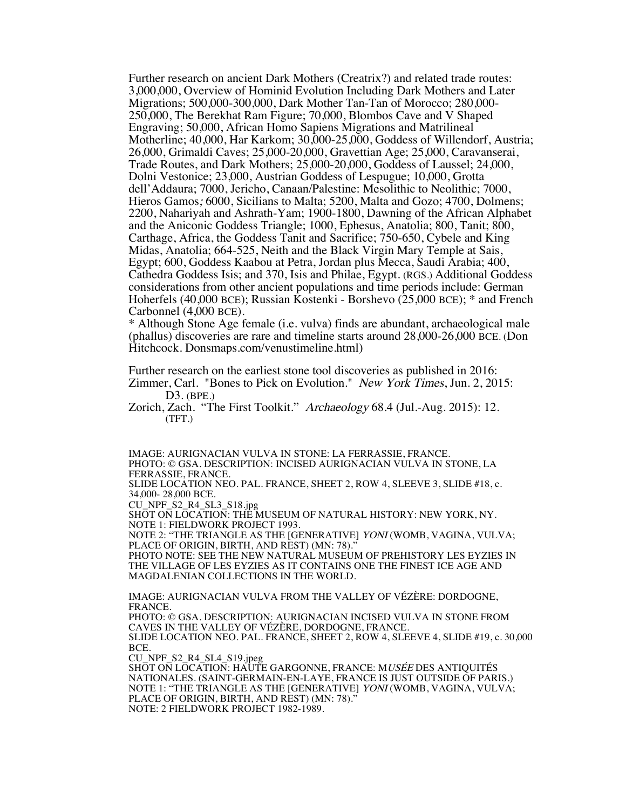Further research on ancient Dark Mothers (Creatrix?) and related trade routes: 3,000,000, Overview of Hominid Evolution Including Dark Mothers and Later Migrations; 500,000-300,000, Dark Mother Tan-Tan of Morocco; 280,000- 250,000, The Berekhat Ram Figure; 70,000, Blombos Cave and V Shaped Engraving; 50,000, African Homo Sapiens Migrations and Matrilineal Motherline; 40,000, Har Karkom; 30,000-25,000, Goddess of Willendorf, Austria; 26,000, Grimaldi Caves; 25,000-20,000, Gravettian Age; 25,000, Caravanserai, Trade Routes, and Dark Mothers; 25,000-20,000, Goddess of Laussel; 24,000, Dolni Vestonice; 23,000, Austrian Goddess of Lespugue; 10,000, Grotta dell'Addaura; 7000, Jericho, Canaan/Palestine: Mesolithic to Neolithic; 7000, Hieros Gamos; 6000, Sicilians to Malta; 5200, Malta and Gozo; 4700, Dolmens; 2200, Nahariyah and Ashrath-Yam; 1900-1800, Dawning of the African Alphabet and the Aniconic Goddess Triangle; 1000, Ephesus, Anatolia; 800, Tanit; 800, Carthage, Africa, the Goddess Tanit and Sacrifice; 750-650, Cybele and King Midas, Anatolia; 664-525, Neith and the Black Virgin Mary Temple at Sais, Egypt; 600, Goddess Kaabou at Petra, Jordan plus Mecca, Saudi Arabia; 400, Cathedra Goddess Isis; and 370, Isis and Philae, Egypt. (RGS.) Additional Goddess considerations from other ancient populations and time periods include: German Hoherfels (40,000 BCE); Russian Kostenki - Borshevo (25,000 BCE); \* and French Carbonnel (4,000 BCE).

\* Although Stone Age female (i.e. vulva) finds are abundant, archaeological male (phallus) discoveries are rare and timeline starts around 28,000-26,000 BCE. (Don Hitchcock. Donsmaps.com/venustimeline.html)

Further research on the earliest stone tool discoveries as published in 2016: Zimmer, Carl. "Bones to Pick on Evolution." New York Times, Jun. 2, 2015: D3. (BPE.)

Zorich, Zach. "The First Toolkit." Archaeology 68.4 (Jul.-Aug. 2015): 12. (TFT.)

IMAGE: AURIGNACIAN VULVA IN STONE: LA FERRASSIE, FRANCE. PHOTO: © GSA. DESCRIPTION: INCISED AURIGNACIAN VULVA IN STONE, LA FERRASSIE, FRANCE.

SLIDE LOCATION NEO. PAL. FRANCE, SHEET 2, ROW 4, SLEEVE 3, SLIDE #18, c. 34,000- 28,000 BCE.

CU\_NPF\_S2\_R4\_SL3\_S18.jpg

SHOT ON LOCATION: THE MUSEUM OF NATURAL HISTORY: NEW YORK, NY. NOTE 1: FIELDWORK PROJECT 1993.

NOTE 2: "THE TRIANGLE AS THE [GENERATIVE] YONI (WOMB, VAGINA, VULVA; PLACE OF ORIGIN, BIRTH, AND REST) (MN: 78).'

PHOTO NOTE: SEE THE NEW NATURAL MUSEUM OF PREHISTORY LES EYZIES IN THE VILLAGE OF LES EYZIES AS IT CONTAINS ONE THE FINEST ICE AGE AND MAGDALENIAN COLLECTIONS IN THE WORLD.

IMAGE: AURIGNACIAN VULVA FROM THE VALLEY OF VÉZÈRE: DORDOGNE, FRANCE.

PHOTO: © GSA. DESCRIPTION: AURIGNACIAN INCISED VULVA IN STONE FROM CAVES IN THE VALLEY OF VÉZÈRE, DORDOGNE, FRANCE. SLIDE LOCATION NEO. PAL. FRANCE, SHEET 2, ROW 4, SLEEVE 4, SLIDE #19, c. 30,000

BCE. CU\_NPF\_S2\_R4\_SL4\_S19.jpeg

SHOT ON LOCATION: HAUTE GARGONNE, FRANCE: MUSÉE DES ANTIQUITÉS NATIONALES. (SAINT-GERMAIN-EN-LAYE, FRANCE IS JUST OUTSIDE OF PARIS.) NOTE 1: "THE TRIANGLE AS THE [GENERATIVE] YONI (WOMB, VAGINA, VULVA; PLACE OF ORIGIN, BIRTH, AND REST) (MN: 78)." NOTE: 2 FIELDWORK PROJECT 1982-1989.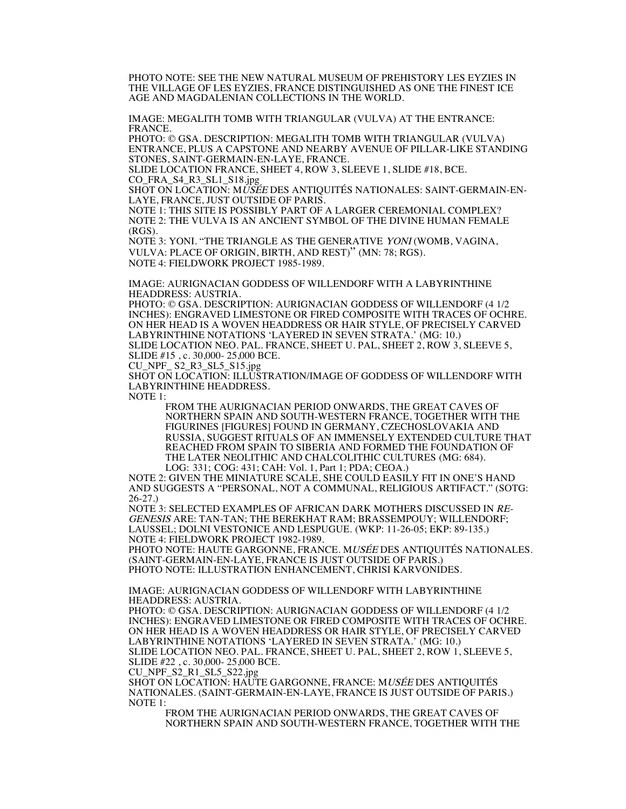PHOTO NOTE: SEE THE NEW NATURAL MUSEUM OF PREHISTORY LES EYZIES IN THE VILLAGE OF LES EYZIES, FRANCE DISTINGUISHED AS ONE THE FINEST ICE AGE AND MAGDALENIAN COLLECTIONS IN THE WORLD.

IMAGE: MEGALITH TOMB WITH TRIANGULAR (VULVA) AT THE ENTRANCE: FRANCE.

PHOTO: © GSA. DESCRIPTION: MEGALITH TOMB WITH TRIANGULAR (VULVA) ENTRANCE, PLUS A CAPSTONE AND NEARBY AVENUE OF PILLAR-LIKE STANDING STONES, SAINT-GERMAIN-EN-LAYE, FRANCE.

SLIDE LOCATION FRANCE, SHEET 4, ROW 3, SLEEVE 1, SLIDE #18, BCE. CO\_FRA\_S4\_R3\_SL1\_S18.jpg

SHOT ON LOCATION: MUSÉE DES ANTIQUITÉS NATIONALES: SAINT-GERMAIN-EN-LAYE, FRANCE, JUST OUTSIDE OF PARIS.

NOTE 1: THIS SITE IS POSSIBLY PART OF A LARGER CEREMONIAL COMPLEX? NOTE 2: THE VULVA IS AN ANCIENT SYMBOL OF THE DIVINE HUMAN FEMALE (RGS).

NOTE 3: YONI. "THE TRIANGLE AS THE GENERATIVE YONI (WOMB, VAGINA, VULVA: PLACE OF ORIGIN, BIRTH, AND REST)" (MN: 78; RGS). NOTE 4: FIELDWORK PROJECT 1985-1989.

IMAGE: AURIGNACIAN GODDESS OF WILLENDORF WITH A LABYRINTHINE HEADDRESS: AUSTRIA.

PHOTO: © GSA. DESCRIPTION: AURIGNACIAN GODDESS OF WILLENDORF (4 1/2 INCHES): ENGRAVED LIMESTONE OR FIRED COMPOSITE WITH TRACES OF OCHRE. ON HER HEAD IS A WOVEN HEADDRESS OR HAIR STYLE, OF PRECISELY CARVED LABYRINTHINE NOTATIONS 'LAYERED IN SEVEN STRATA.' (MG: 10.) SLIDE LOCATION NEO. PAL. FRANCE, SHEET U. PAL, SHEET 2, ROW 3, SLEEVE 5,

SLIDE #15 , c. 30,000- 25,000 BCE.  $CU\_NPF\_ S2\_R3\_SL5\_S15.jpg$ 

SHOT ON LOCATION: ILLUSTRATION/IMAGE OF GODDESS OF WILLENDORF WITH LABYRINTHINE HEADDRESS.

 $NOTE$  1.

FROM THE AURIGNACIAN PERIOD ONWARDS, THE GREAT CAVES OF NORTHERN SPAIN AND SOUTH-WESTERN FRANCE, TOGETHER WITH THE FIGURINES [FIGURES] FOUND IN GERMANY, CZECHOSLOVAKIA AND RUSSIA, SUGGEST RITUALS OF AN IMMENSELY EXTENDED CULTURE THAT REACHED FROM SPAIN TO SIBERIA AND FORMED THE FOUNDATION OF THE LATER NEOLITHIC AND CHALCOLITHIC CULTURES (MG: 684). LOG: 331; COG: 431; CAH: Vol. 1, Part 1; PDA; CEOA.)

NOTE 2: GIVEN THE MINIATURE SCALE, SHE COULD EASILY FIT IN ONE'S HAND AND SUGGESTS A "PERSONAL, NOT A COMMUNAL, RELIGIOUS ARTIFACT." (SOTG: 26-27.)

NOTE 3: SELECTED EXAMPLES OF AFRICAN DARK MOTHERS DISCUSSED IN RE-GENESIS ARE: TAN-TAN; THE BEREKHAT RAM; BRASSEMPOUY; WILLENDORF; LAUSSEL; DOLNI VESTONICE AND LESPUGUE. (WKP: 11-26-05; EKP: 89-135.) NOTE 4: FIELDWORK PROJECT 1982-1989.

PHOTO NOTE: HAUTE GARGONNE, FRANCE. MUSÉE DES ANTIQUITÉS NATIONALES. (SAINT-GERMAIN-EN-LAYE, FRANCE IS JUST OUTSIDE OF PARIS.) PHOTO NOTE: ILLUSTRATION ENHANCEMENT, CHRISI KARVONIDES.

IMAGE: AURIGNACIAN GODDESS OF WILLENDORF WITH LABYRINTHINE HEADDRESS: AUSTRIA.

PHOTO: © GSA. DESCRIPTION: AURIGNACIAN GODDESS OF WILLENDORF (4 1/2 INCHES): ENGRAVED LIMESTONE OR FIRED COMPOSITE WITH TRACES OF OCHRE. ON HER HEAD IS A WOVEN HEADDRESS OR HAIR STYLE, OF PRECISELY CARVED LABYRINTHINE NOTATIONS 'LAYERED IN SEVEN STRATA.' (MG: 10.) SLIDE LOCATION NEO. PAL. FRANCE, SHEET U. PAL, SHEET 2, ROW 1, SLEEVE 5, SLIDE #22 , c. 30,000- 25,000 BCE.

CU\_NPF\_S2\_R1\_SL5\_S22.jpg

SHOT ON LOCATION: HAUTE GARGONNE, FRANCE: MUSÉE DES ANTIQUITÉS NATIONALES. (SAINT-GERMAIN-EN-LAYE, FRANCE IS JUST OUTSIDE OF PARIS.) NOTE 1:

FROM THE AURIGNACIAN PERIOD ONWARDS, THE GREAT CAVES OF NORTHERN SPAIN AND SOUTH-WESTERN FRANCE, TOGETHER WITH THE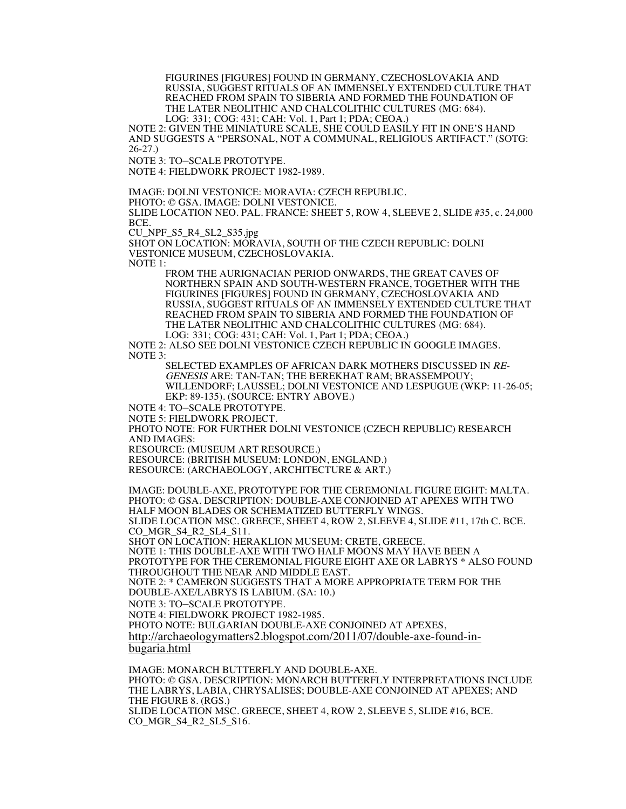FIGURINES [FIGURES] FOUND IN GERMANY, CZECHOSLOVAKIA AND RUSSIA, SUGGEST RITUALS OF AN IMMENSELY EXTENDED CULTURE THAT REACHED FROM SPAIN TO SIBERIA AND FORMED THE FOUNDATION OF THE LATER NEOLITHIC AND CHALCOLITHIC CULTURES (MG: 684). LOG: 331; COG: 431; CAH: Vol. 1, Part 1; PDA; CEOA.)

NOTE 2: GIVEN THE MINIATURE SCALE, SHE COULD EASILY FIT IN ONE'S HAND AND SUGGESTS A "PERSONAL, NOT A COMMUNAL, RELIGIOUS ARTIFACT." (SOTG: 26-27.)

NOTE 3: TO–SCALE PROTOTYPE.

NOTE 4: FIELDWORK PROJECT 1982-1989.

IMAGE: DOLNI VESTONICE: MORAVIA: CZECH REPUBLIC.

PHOTO: © GSA. IMAGE: DOLNI VESTONICE.

SLIDE LOCATION NEO. PAL. FRANCE: SHEET 5, ROW 4, SLEEVE 2, SLIDE #35, c. 24,000 BCE.

CU\_NPF\_S5\_R4\_SL2\_S35.jpg

SHOT ON LOCATION: MORAVIA, SOUTH OF THE CZECH REPUBLIC: DOLNI VESTONICE MUSEUM, CZECHOSLOVAKIA.

NOTE 1:

FROM THE AURIGNACIAN PERIOD ONWARDS, THE GREAT CAVES OF NORTHERN SPAIN AND SOUTH-WESTERN FRANCE, TOGETHER WITH THE FIGURINES [FIGURES] FOUND IN GERMANY, CZECHOSLOVAKIA AND RUSSIA, SUGGEST RITUALS OF AN IMMENSELY EXTENDED CULTURE THAT REACHED FROM SPAIN TO SIBERIA AND FORMED THE FOUNDATION OF THE LATER NEOLITHIC AND CHALCOLITHIC CULTURES (MG: 684).

LOG: 331; COG: 431; CAH: Vol. 1, Part 1; PDA; CEOA.)

NOTE 2: ALSO SEE DOLNI VESTONICE CZECH REPUBLIC IN GOOGLE IMAGES. NOTE 3:

SELECTED EXAMPLES OF AFRICAN DARK MOTHERS DISCUSSED IN RE-GENESIS ARE: TAN-TAN; THE BEREKHAT RAM; BRASSEMPOUY; WILLENDORF; LAUSSEL; DOLNI VESTONICE AND LESPUGUE (WKP: 11-26-05; EKP: 89-135). (SOURCE: ENTRY ABOVE.)

NOTE 4: TO–SCALE PROTOTYPE.

NOTE 5: FIELDWORK PROJECT.

PHOTO NOTE: FOR FURTHER DOLNI VESTONICE (CZECH REPUBLIC) RESEARCH AND IMAGES:

RESOURCE: (MUSEUM ART RESOURCE.)

RESOURCE: (BRITISH MUSEUM: LONDON, ENGLAND.)

RESOURCE: (ARCHAEOLOGY, ARCHITECTURE & ART.)

IMAGE: DOUBLE-AXE, PROTOTYPE FOR THE CEREMONIAL FIGURE EIGHT: MALTA. PHOTO: © GSA. DESCRIPTION: DOUBLE-AXE CONJOINED AT APEXES WITH TWO HALF MOON BLADES OR SCHEMATIZED BUTTERFLY WINGS.

SLIDE LOCATION MSC. GREECE, SHEET 4, ROW 2, SLEEVE 4, SLIDE #11, 17th C. BCE. CO\_MGR\_S4\_R2\_SL4\_S11.

SHOT ON LOCATION: HERAKLION MUSEUM: CRETE, GREECE.

NOTE 1: THIS DOUBLE-AXE WITH TWO HALF MOONS MAY HAVE BEEN A

PROTOTYPE FOR THE CEREMONIAL FIGURE EIGHT AXE OR LABRYS \* ALSO FOUND THROUGHOUT THE NEAR AND MIDDLE EAST.

NOTE 2: \* CAMERON SUGGESTS THAT A MORE APPROPRIATE TERM FOR THE DOUBLE-AXE/LABRYS IS LABIUM. (SA: 10.)

NOTE 3: TO–SCALE PROTOTYPE.

NOTE 4: FIELDWORK PROJECT 1982-1985.

PHOTO NOTE: BULGARIAN DOUBLE-AXE CONJOINED AT APEXES,

http://archaeologymatters2.blogspot.com/2011/07/double-axe-found-in-

bugaria.html

IMAGE: MONARCH BUTTERFLY AND DOUBLE-AXE. PHOTO: © GSA. DESCRIPTION: MONARCH BUTTERFLY INTERPRETATIONS INCLUDE THE LABRYS, LABIA, CHRYSALISES; DOUBLE-AXE CONJOINED AT APEXES; AND THE FIGURE 8. (RGS.) SLIDE LOCATION MSC. GREECE, SHEET 4, ROW 2, SLEEVE 5, SLIDE #16, BCE. CO\_MGR\_S4\_R2\_SL5\_S16.